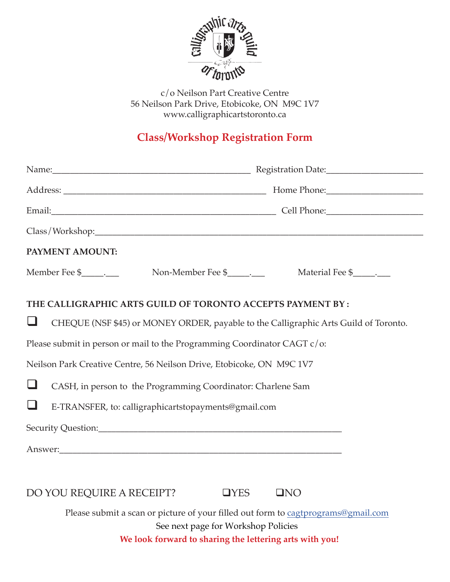

c/o Neilson Part Creative Centre 56 Neilson Park Drive, Etobicoke, ON M9C 1V7 www.calligraphicartstoronto.ca

## **Class/Workshop Registration Form**

|                                                             | Name: Name: 2008 Manner Communication Date: 2008 Manner Communication Date:          |
|-------------------------------------------------------------|--------------------------------------------------------------------------------------|
|                                                             |                                                                                      |
|                                                             |                                                                                      |
|                                                             |                                                                                      |
| PAYMENT AMOUNT:                                             |                                                                                      |
|                                                             | Member Fee \$__________                                                              |
| THE CALLIGRAPHIC ARTS GUILD OF TORONTO ACCEPTS PAYMENT BY : |                                                                                      |
| ⊔                                                           | CHEQUE (NSF \$45) or MONEY ORDER, payable to the Calligraphic Arts Guild of Toronto. |
|                                                             | Please submit in person or mail to the Programming Coordinator CAGT c/o:             |
|                                                             | Neilson Park Creative Centre, 56 Neilson Drive, Etobicoke, ON M9C 1V7                |
| $\Box$                                                      | CASH, in person to the Programming Coordinator: Charlene Sam                         |
| $\Box$                                                      | E-TRANSFER, to: calligraphicartstopayments@gmail.com                                 |
|                                                             |                                                                                      |
|                                                             |                                                                                      |
|                                                             |                                                                                      |
|                                                             | DO YOU REQUIRE A RECEIPT?<br>$\Box$ YES<br>QNO                                       |
|                                                             | Please submit a scan or picture of your filled out form to cagtprograms@gmail.com    |
|                                                             | See next page for Workshop Policies                                                  |
|                                                             | We look forward to sharing the lettering arts with you!                              |